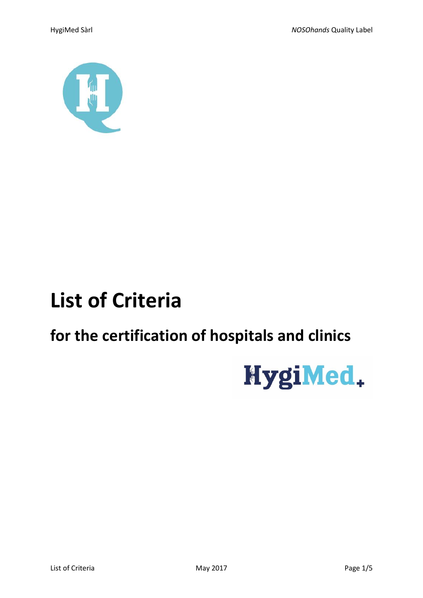

# **List of Criteria**

## for the certification of hospitals and clinics

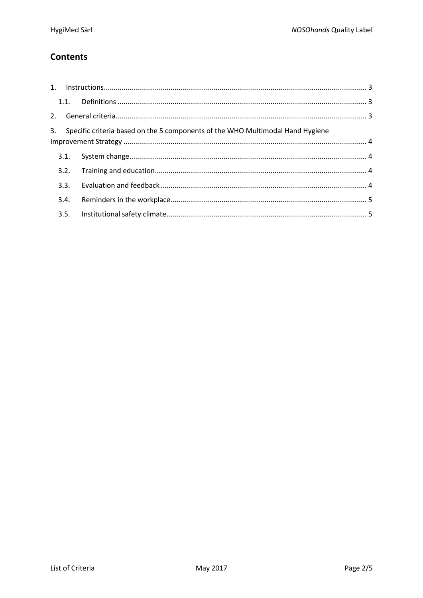## **Contents**

|      | 3. Specific criteria based on the 5 components of the WHO Multimodal Hand Hygiene |  |
|------|-----------------------------------------------------------------------------------|--|
|      |                                                                                   |  |
|      |                                                                                   |  |
|      |                                                                                   |  |
|      |                                                                                   |  |
| 3.4. |                                                                                   |  |
|      |                                                                                   |  |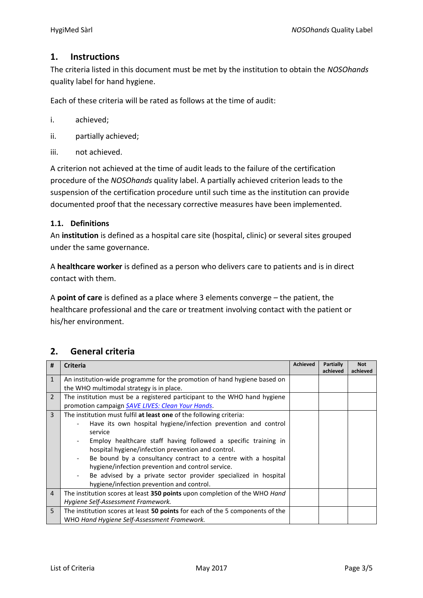## <span id="page-2-0"></span>**1. Instructions**

The criteria listed in this document must be met by the institution to obtain the *NOSOhands* quality label for hand hygiene.

Each of these criteria will be rated as follows at the time of audit:

- i. achieved;
- ii. partially achieved;
- iii. not achieved.

A criterion not achieved at the time of audit leads to the failure of the certification procedure of the *NOSOhands* quality label. A partially achieved criterion leads to the suspension of the certification procedure until such time as the institution can provide documented proof that the necessary corrective measures have been implemented.

## <span id="page-2-1"></span>**1.1. Definitions**

An **institution** is defined as a hospital care site (hospital, clinic) or several sites grouped under the same governance.

A **healthcare worker** is defined as a person who delivers care to patients and is in direct contact with them.

A **point of care** is defined as a place where 3 elements converge – the patient, the healthcare professional and the care or treatment involving contact with the patient or his/her environment.

| #              | <b>Criteria</b>                                                                             | <b>Achieved</b> | Partially<br>achieved | <b>Not</b><br>achieved |
|----------------|---------------------------------------------------------------------------------------------|-----------------|-----------------------|------------------------|
| $\mathbf{1}$   | An institution-wide programme for the promotion of hand hygiene based on                    |                 |                       |                        |
|                | the WHO multimodal strategy is in place.                                                    |                 |                       |                        |
| $\overline{2}$ | The institution must be a registered participant to the WHO hand hygiene                    |                 |                       |                        |
|                | promotion campaign SAVE LIVES: Clean Your Hands.                                            |                 |                       |                        |
| 3              | The institution must fulfil at least one of the following criteria:                         |                 |                       |                        |
|                | Have its own hospital hygiene/infection prevention and control                              |                 |                       |                        |
|                | service                                                                                     |                 |                       |                        |
|                | Employ healthcare staff having followed a specific training in                              |                 |                       |                        |
|                | hospital hygiene/infection prevention and control.                                          |                 |                       |                        |
|                | Be bound by a consultancy contract to a centre with a hospital                              |                 |                       |                        |
|                | hygiene/infection prevention and control service.                                           |                 |                       |                        |
|                | Be advised by a private sector provider specialized in hospital<br>$\overline{\phantom{a}}$ |                 |                       |                        |
|                | hygiene/infection prevention and control.                                                   |                 |                       |                        |
| $\overline{4}$ | The institution scores at least 350 points upon completion of the WHO Hand                  |                 |                       |                        |
|                | Hygiene Self-Assessment Framework.                                                          |                 |                       |                        |
| 5              | The institution scores at least 50 points for each of the 5 components of the               |                 |                       |                        |
|                | WHO Hand Hygiene Self-Assessment Framework.                                                 |                 |                       |                        |

## <span id="page-2-2"></span>**2. General criteria**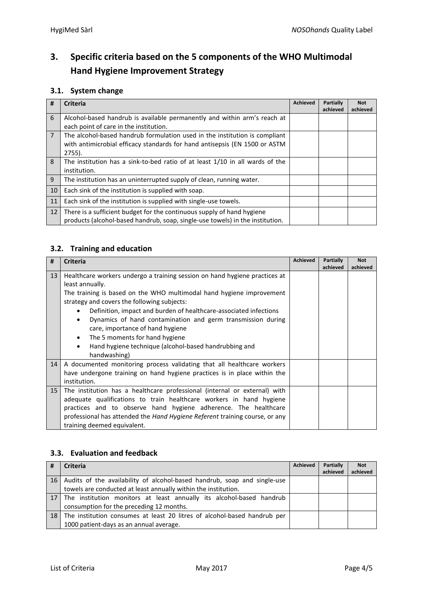## <span id="page-3-0"></span>**3. Specific criteria based on the 5 components of the WHO Multimodal Hand Hygiene Improvement Strategy**

## <span id="page-3-1"></span>**3.1. System change**

| #              | <b>Criteria</b>                                                               | <b>Achieved</b> | Partially | <b>Not</b> |
|----------------|-------------------------------------------------------------------------------|-----------------|-----------|------------|
|                |                                                                               |                 | achieved  | achieved   |
| 6              | Alcohol-based handrub is available permanently and within arm's reach at      |                 |           |            |
|                | each point of care in the institution.                                        |                 |           |            |
| $\overline{7}$ | The alcohol-based handrub formulation used in the institution is compliant    |                 |           |            |
|                | with antimicrobial efficacy standards for hand antisepsis (EN 1500 or ASTM    |                 |           |            |
|                | $2755$ ).                                                                     |                 |           |            |
| 8              | The institution has a sink-to-bed ratio of at least 1/10 in all wards of the  |                 |           |            |
|                | institution.                                                                  |                 |           |            |
| 9              | The institution has an uninterrupted supply of clean, running water.          |                 |           |            |
| 10             | Each sink of the institution is supplied with soap.                           |                 |           |            |
| 11             | Each sink of the institution is supplied with single-use towels.              |                 |           |            |
| 12             | There is a sufficient budget for the continuous supply of hand hygiene        |                 |           |            |
|                | products (alcohol-based handrub, soap, single-use towels) in the institution. |                 |           |            |

## <span id="page-3-2"></span>**3.2. Training and education**

| #               | <b>Criteria</b>                                                                    | <b>Achieved</b> | <b>Partially</b> | <b>Not</b> |
|-----------------|------------------------------------------------------------------------------------|-----------------|------------------|------------|
|                 |                                                                                    |                 | achieved         | achieved   |
| 13              | Healthcare workers undergo a training session on hand hygiene practices at         |                 |                  |            |
|                 | least annually.                                                                    |                 |                  |            |
|                 | The training is based on the WHO multimodal hand hygiene improvement               |                 |                  |            |
|                 | strategy and covers the following subjects:                                        |                 |                  |            |
|                 | Definition, impact and burden of healthcare-associated infections<br>$\bullet$     |                 |                  |            |
|                 | Dynamics of hand contamination and germ transmission during<br>$\bullet$           |                 |                  |            |
|                 | care, importance of hand hygiene                                                   |                 |                  |            |
|                 | The 5 moments for hand hygiene<br>$\bullet$                                        |                 |                  |            |
|                 | Hand hygiene technique (alcohol-based handrubbing and<br>$\bullet$                 |                 |                  |            |
|                 | handwashing)                                                                       |                 |                  |            |
| 14              | A documented monitoring process validating that all healthcare workers             |                 |                  |            |
|                 | have undergone training on hand hygiene practices is in place within the           |                 |                  |            |
|                 | institution.                                                                       |                 |                  |            |
| 15 <sup>1</sup> | The institution has a healthcare professional (internal or external) with          |                 |                  |            |
|                 | adequate qualifications to train healthcare workers in hand hygiene                |                 |                  |            |
|                 | practices and to observe hand hygiene adherence. The healthcare                    |                 |                  |            |
|                 | professional has attended the <i>Hand Hygiene Referent</i> training course, or any |                 |                  |            |
|                 | training deemed equivalent.                                                        |                 |                  |            |

## <span id="page-3-3"></span>**3.3. Evaluation and feedback**

| #               | <b>Criteria</b>                                                          | <b>Achieved</b> | Partially | <b>Not</b> |
|-----------------|--------------------------------------------------------------------------|-----------------|-----------|------------|
|                 |                                                                          |                 | achieved  | achieved   |
| 16 <sup>1</sup> | Audits of the availability of alcohol-based handrub, soap and single-use |                 |           |            |
|                 | towels are conducted at least annually within the institution.           |                 |           |            |
| $\vert$ 17      | The institution monitors at least annually its alcohol-based handrub     |                 |           |            |
|                 | consumption for the preceding 12 months.                                 |                 |           |            |
| 18 <sup>7</sup> | The institution consumes at least 20 litres of alcohol-based handrub per |                 |           |            |
|                 | 1000 patient-days as an annual average.                                  |                 |           |            |